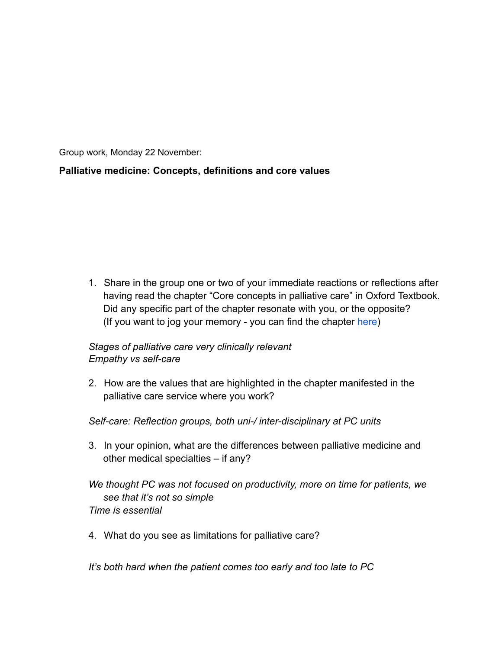Group work, Monday 22 November:

# **Palliative medicine: Concepts, definitions and core values**

1. Share in the group one or two of your immediate reactions or reflections after having read the chapter "Core concepts in palliative care" in Oxford Textbook. Did any specific part of the chapter resonate with you, or the opposite? (If you want to jog your memory - you can find the chapter [here](https://drive.google.com/file/d/1gAEVyYNHiC4xmwsBbTG9UZ10nPLuCG1U/view?usp=sharing))

### *Stages of palliative care very clinically relevant Empathy vs self-care*

2. How are the values that are highlighted in the chapter manifested in the palliative care service where you work?

### *Self-care: Reflection groups, both uni-/ inter-disciplinary at PC units*

3. In your opinion, what are the differences between palliative medicine and other medical specialties – if any?

### *We thought PC was not focused on productivity, more on time for patients, we see that it's not so simple Time is essential*

4. What do you see as limitations for palliative care?

*It's both hard when the patient comes too early and too late to PC*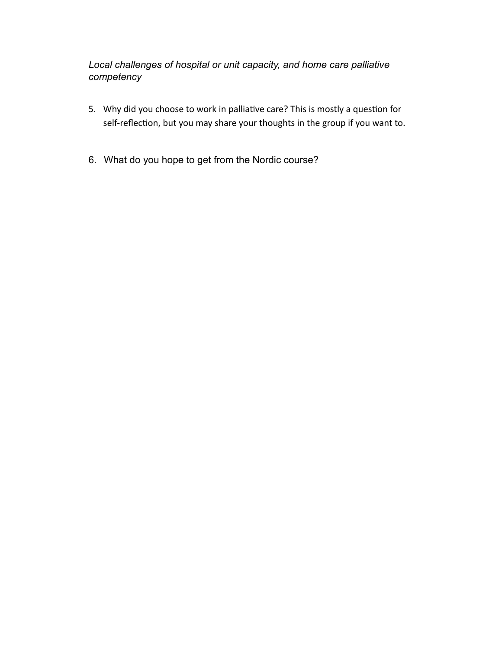*Local challenges of hospital or unit capacity, and home care palliative competency*

- 5. Why did you choose to work in palliative care? This is mostly a question for self-reflection, but you may share your thoughts in the group if you want to.
- 6. What do you hope to get from the Nordic course?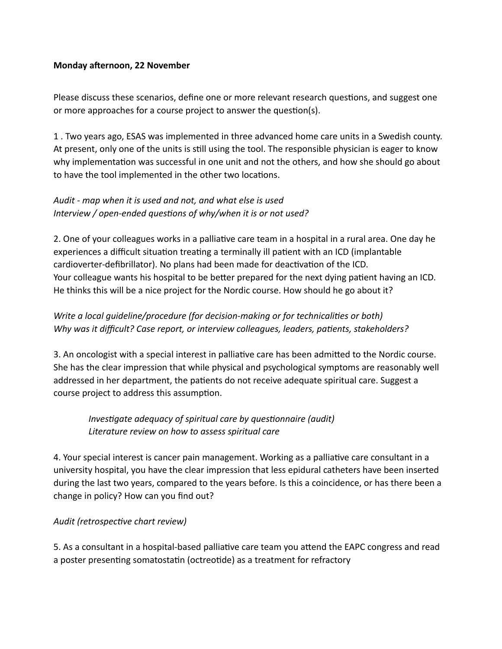#### **Monday afternoon, 22 November**

Please discuss these scenarios, define one or more relevant research questions, and suggest one or more approaches for a course project to answer the question(s).

1 . Two years ago, ESAS was implemented in three advanced home care units in a Swedish county. At present, only one of the units is still using the tool. The responsible physician is eager to know why implementation was successful in one unit and not the others, and how she should go about to have the tool implemented in the other two locations.

## *Audit - map when it is used and not, and what else is used* Interview / open-ended questions of why/when it is or not used?

2. One of your colleagues works in a palliative care team in a hospital in a rural area. One day he experiences a difficult situation treating a terminally ill patient with an ICD (implantable cardioverter-defibrillator). No plans had been made for deactivation of the ICD. Your colleague wants his hospital to be better prepared for the next dying patient having an ICD. He thinks this will be a nice project for the Nordic course. How should he go about it?

## *Write a local quideline/procedure (for decision-making or for technicalities or both)* Why was it difficult? Case report, or interview colleagues, leaders, patients, stakeholders?

3. An oncologist with a special interest in palliative care has been admitted to the Nordic course. She has the clear impression that while physical and psychological symptoms are reasonably well addressed in her department, the patients do not receive adequate spiritual care. Suggest a course project to address this assumption.

# *Investigate adequacy of spiritual care by questionnaire (audit) Literature review on how to assess spiritual care*

4. Your special interest is cancer pain management. Working as a palliative care consultant in a university hospital, you have the clear impression that less epidural catheters have been inserted during the last two years, compared to the years before. Is this a coincidence, or has there been a change in policy? How can you find out?

### Audit (retrospective chart review)

5. As a consultant in a hospital-based palliative care team you attend the EAPC congress and read a poster presenting somatostatin (octreotide) as a treatment for refractory